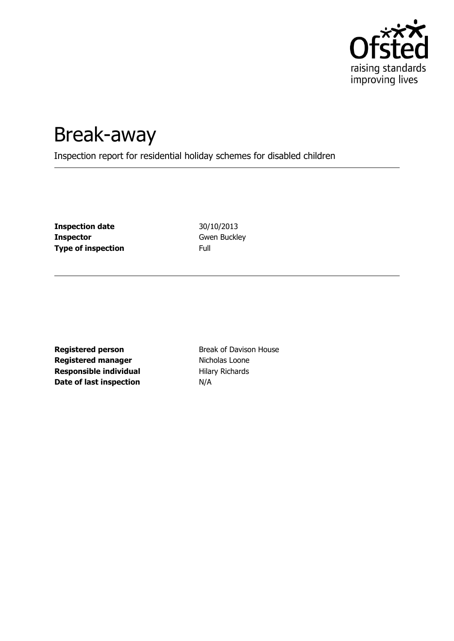

# Break-away

Inspection report for residential holiday schemes for disabled children

**Inspection date** 30/10/2013 **Inspector Gwen Buckley Type of inspection** Full

**Registered person** Break of Davison House **Registered manager** Nicholas Loone **Responsible individual** Hilary Richards **Date of last inspection** N/A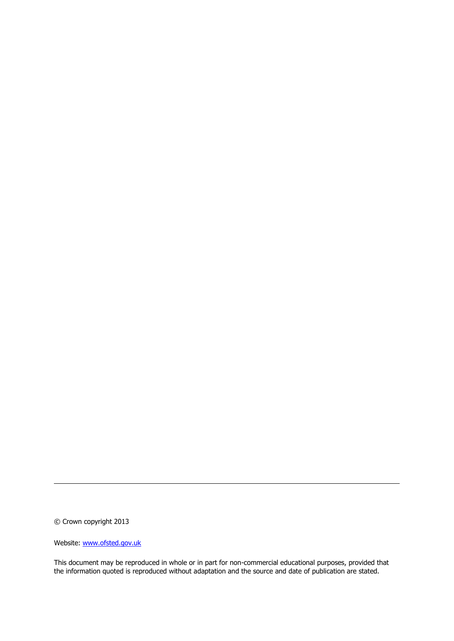© Crown copyright 2013

Website: www.ofsted.gov.uk

This document may be reproduced in whole or in part for non-commercial educational purposes, provided that the information quoted is reproduced without adaptation and the source and date of publication are stated.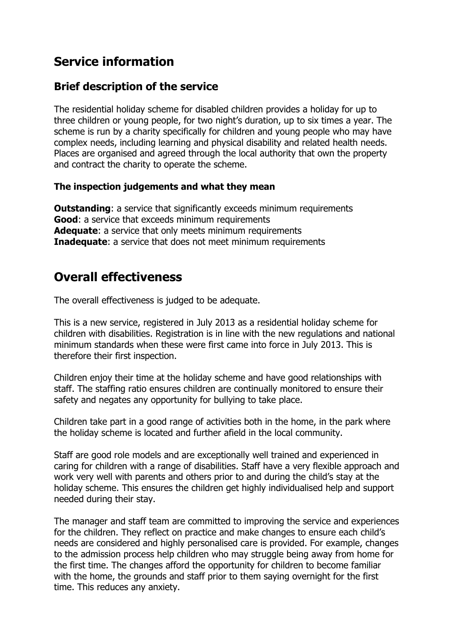### **Service information**

### **Brief description of the service**

The residential holiday scheme for disabled children provides a holiday for up to three children or young people, for two night's duration, up to six times a year. The scheme is run by a charity specifically for children and young people who may have complex needs, including learning and physical disability and related health needs. Places are organised and agreed through the local authority that own the property and contract the charity to operate the scheme.

#### **The inspection judgements and what they mean**

**Outstanding:** a service that significantly exceeds minimum requirements **Good**: a service that exceeds minimum requirements **Adequate**: a service that only meets minimum requirements **Inadequate:** a service that does not meet minimum requirements

### **Overall effectiveness**

The overall effectiveness is judged to be adequate.

This is a new service, registered in July 2013 as a residential holiday scheme for children with disabilities. Registration is in line with the new regulations and national minimum standards when these were first came into force in July 2013. This is therefore their first inspection.

Children enjoy their time at the holiday scheme and have good relationships with staff. The staffing ratio ensures children are continually monitored to ensure their safety and negates any opportunity for bullying to take place.

Children take part in a good range of activities both in the home, in the park where the holiday scheme is located and further afield in the local community.

Staff are good role models and are exceptionally well trained and experienced in caring for children with a range of disabilities. Staff have a very flexible approach and work very well with parents and others prior to and during the child's stay at the holiday scheme. This ensures the children get highly individualised help and support needed during their stay.

The manager and staff team are committed to improving the service and experiences for the children. They reflect on practice and make changes to ensure each child's needs are considered and highly personalised care is provided. For example, changes to the admission process help children who may struggle being away from home for the first time. The changes afford the opportunity for children to become familiar with the home, the grounds and staff prior to them saying overnight for the first time. This reduces any anxiety.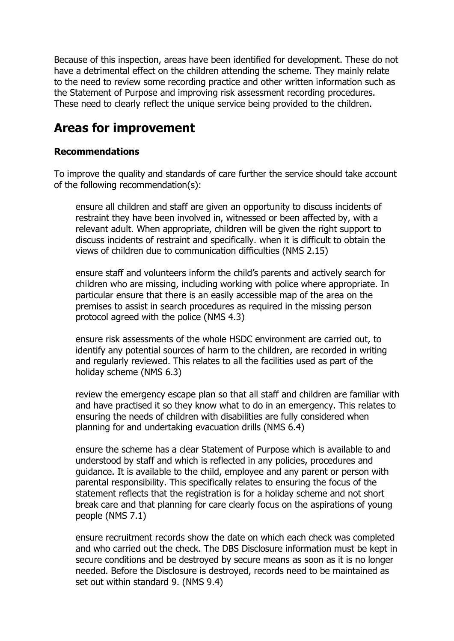Because of this inspection, areas have been identified for development. These do not have a detrimental effect on the children attending the scheme. They mainly relate to the need to review some recording practice and other written information such as the Statement of Purpose and improving risk assessment recording procedures. These need to clearly reflect the unique service being provided to the children.

### **Areas for improvement**

#### **Recommendations**

To improve the quality and standards of care further the service should take account of the following recommendation(s):

ensure all children and staff are given an opportunity to discuss incidents of restraint they have been involved in, witnessed or been affected by, with a relevant adult. When appropriate, children will be given the right support to discuss incidents of restraint and specifically. when it is difficult to obtain the views of children due to communication difficulties (NMS 2.15)

ensure staff and volunteers inform the child's parents and actively search for children who are missing, including working with police where appropriate. In particular ensure that there is an easily accessible map of the area on the premises to assist in search procedures as required in the missing person protocol agreed with the police (NMS 4.3)

ensure risk assessments of the whole HSDC environment are carried out, to identify any potential sources of harm to the children, are recorded in writing and regularly reviewed. This relates to all the facilities used as part of the holiday scheme (NMS 6.3)

review the emergency escape plan so that all staff and children are familiar with and have practised it so they know what to do in an emergency. This relates to ensuring the needs of children with disabilities are fully considered when planning for and undertaking evacuation drills (NMS 6.4)

ensure the scheme has a clear Statement of Purpose which is available to and understood by staff and which is reflected in any policies, procedures and guidance. It is available to the child, employee and any parent or person with parental responsibility. This specifically relates to ensuring the focus of the statement reflects that the registration is for a holiday scheme and not short break care and that planning for care clearly focus on the aspirations of young people (NMS 7.1)

ensure recruitment records show the date on which each check was completed and who carried out the check. The DBS Disclosure information must be kept in secure conditions and be destroyed by secure means as soon as it is no longer needed. Before the Disclosure is destroyed, records need to be maintained as set out within standard 9. (NMS 9.4)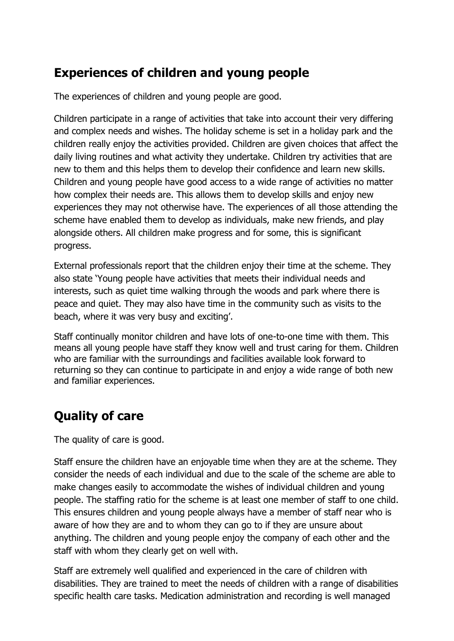### **Experiences of children and young people**

The experiences of children and young people are good.

Children participate in a range of activities that take into account their very differing and complex needs and wishes. The holiday scheme is set in a holiday park and the children really enjoy the activities provided. Children are given choices that affect the daily living routines and what activity they undertake. Children try activities that are new to them and this helps them to develop their confidence and learn new skills. Children and young people have good access to a wide range of activities no matter how complex their needs are. This allows them to develop skills and enjoy new experiences they may not otherwise have. The experiences of all those attending the scheme have enabled them to develop as individuals, make new friends, and play alongside others. All children make progress and for some, this is significant progress.

External professionals report that the children enjoy their time at the scheme. They also state 'Young people have activities that meets their individual needs and interests, such as quiet time walking through the woods and park where there is peace and quiet. They may also have time in the community such as visits to the beach, where it was very busy and exciting'.

Staff continually monitor children and have lots of one-to-one time with them. This means all young people have staff they know well and trust caring for them. Children who are familiar with the surroundings and facilities available look forward to returning so they can continue to participate in and enjoy a wide range of both new and familiar experiences.

## **Quality of care**

The quality of care is good.

Staff ensure the children have an enjoyable time when they are at the scheme. They consider the needs of each individual and due to the scale of the scheme are able to make changes easily to accommodate the wishes of individual children and young people. The staffing ratio for the scheme is at least one member of staff to one child. This ensures children and young people always have a member of staff near who is aware of how they are and to whom they can go to if they are unsure about anything. The children and young people enjoy the company of each other and the staff with whom they clearly get on well with.

Staff are extremely well qualified and experienced in the care of children with disabilities. They are trained to meet the needs of children with a range of disabilities specific health care tasks. Medication administration and recording is well managed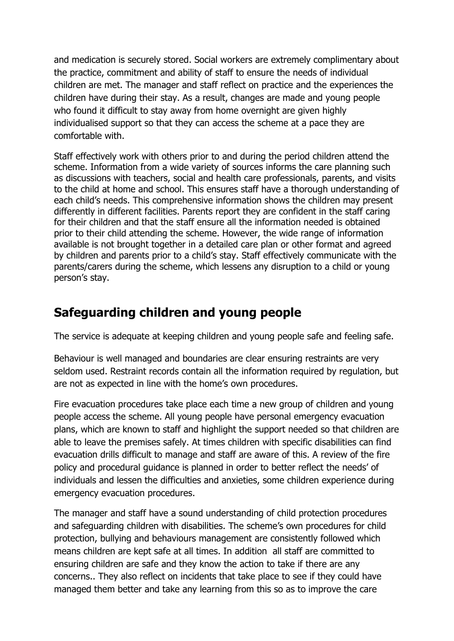and medication is securely stored. Social workers are extremely complimentary about the practice, commitment and ability of staff to ensure the needs of individual children are met. The manager and staff reflect on practice and the experiences the children have during their stay. As a result, changes are made and young people who found it difficult to stay away from home overnight are given highly individualised support so that they can access the scheme at a pace they are comfortable with.

Staff effectively work with others prior to and during the period children attend the scheme. Information from a wide variety of sources informs the care planning such as discussions with teachers, social and health care professionals, parents, and visits to the child at home and school. This ensures staff have a thorough understanding of each child's needs. This comprehensive information shows the children may present differently in different facilities. Parents report they are confident in the staff caring for their children and that the staff ensure all the information needed is obtained prior to their child attending the scheme. However, the wide range of information available is not brought together in a detailed care plan or other format and agreed by children and parents prior to a child's stay. Staff effectively communicate with the parents/carers during the scheme, which lessens any disruption to a child or young person's stay.

### **Safeguarding children and young people**

The service is adequate at keeping children and young people safe and feeling safe.

Behaviour is well managed and boundaries are clear ensuring restraints are very seldom used. Restraint records contain all the information required by regulation, but are not as expected in line with the home's own procedures.

Fire evacuation procedures take place each time a new group of children and young people access the scheme. All young people have personal emergency evacuation plans, which are known to staff and highlight the support needed so that children are able to leave the premises safely. At times children with specific disabilities can find evacuation drills difficult to manage and staff are aware of this. A review of the fire policy and procedural guidance is planned in order to better reflect the needs' of individuals and lessen the difficulties and anxieties, some children experience during emergency evacuation procedures.

The manager and staff have a sound understanding of child protection procedures and safeguarding children with disabilities. The scheme's own procedures for child protection, bullying and behaviours management are consistently followed which means children are kept safe at all times. In addition all staff are committed to ensuring children are safe and they know the action to take if there are any concerns.. They also reflect on incidents that take place to see if they could have managed them better and take any learning from this so as to improve the care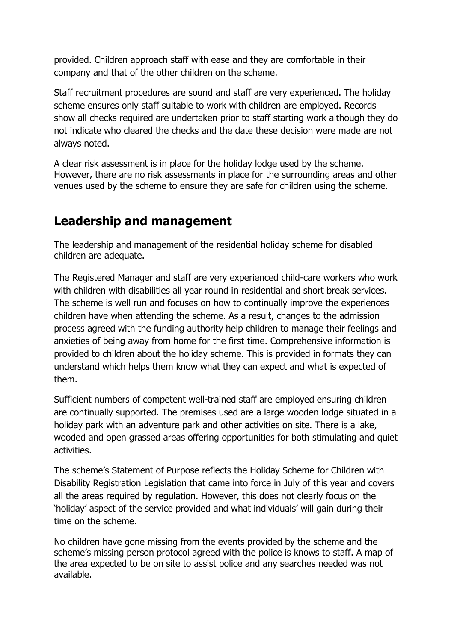provided. Children approach staff with ease and they are comfortable in their company and that of the other children on the scheme.

Staff recruitment procedures are sound and staff are very experienced. The holiday scheme ensures only staff suitable to work with children are employed. Records show all checks required are undertaken prior to staff starting work although they do not indicate who cleared the checks and the date these decision were made are not always noted.

A clear risk assessment is in place for the holiday lodge used by the scheme. However, there are no risk assessments in place for the surrounding areas and other venues used by the scheme to ensure they are safe for children using the scheme.

### **Leadership and management**

The leadership and management of the residential holiday scheme for disabled children are adequate.

The Registered Manager and staff are very experienced child-care workers who work with children with disabilities all year round in residential and short break services. The scheme is well run and focuses on how to continually improve the experiences children have when attending the scheme. As a result, changes to the admission process agreed with the funding authority help children to manage their feelings and anxieties of being away from home for the first time. Comprehensive information is provided to children about the holiday scheme. This is provided in formats they can understand which helps them know what they can expect and what is expected of them.

Sufficient numbers of competent well-trained staff are employed ensuring children are continually supported. The premises used are a large wooden lodge situated in a holiday park with an adventure park and other activities on site. There is a lake, wooded and open grassed areas offering opportunities for both stimulating and quiet activities.

The scheme's Statement of Purpose reflects the Holiday Scheme for Children with Disability Registration Legislation that came into force in July of this year and covers all the areas required by regulation. However, this does not clearly focus on the 'holiday' aspect of the service provided and what individuals' will gain during their time on the scheme.

No children have gone missing from the events provided by the scheme and the scheme's missing person protocol agreed with the police is knows to staff. A map of the area expected to be on site to assist police and any searches needed was not available.